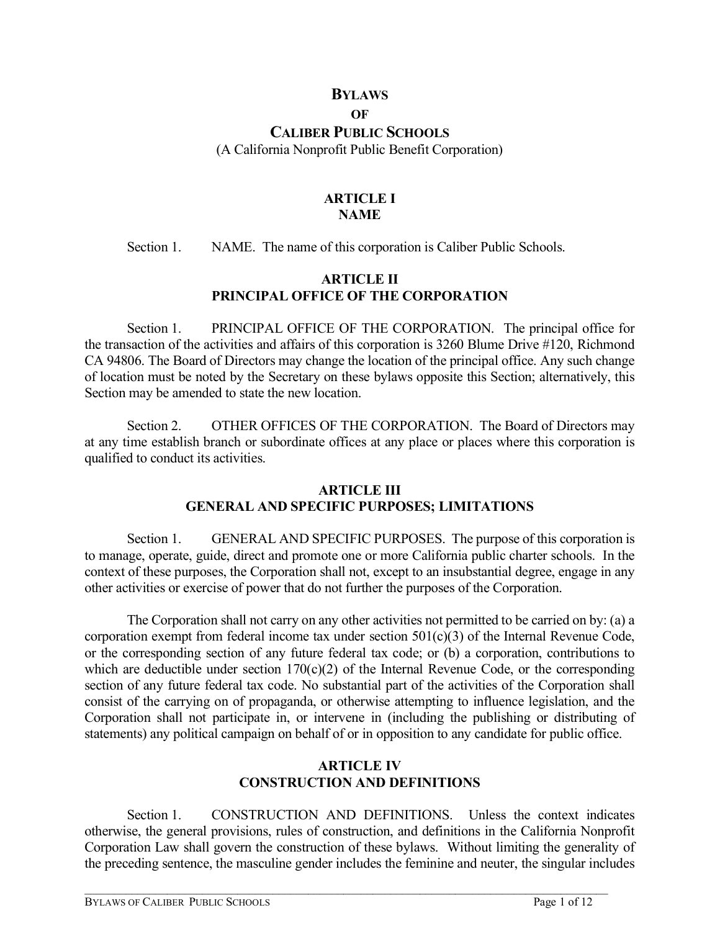## **BYLAWS**

#### **OF**

# **CALIBER PUBLIC SCHOOLS**

(A California Nonprofit Public Benefit Corporation)

## **ARTICLE I NAME**

Section 1. NAME. The name of this corporation is Caliber Public Schools.

## **ARTICLE II PRINCIPAL OFFICE OF THE CORPORATION**

Section 1. PRINCIPAL OFFICE OF THE CORPORATION. The principal office for the transaction of the activities and affairs of this corporation is 3260 Blume Drive #120, Richmond CA 94806. The Board of Directors may change the location of the principal office. Any such change of location must be noted by the Secretary on these bylaws opposite this Section; alternatively, this Section may be amended to state the new location.

Section 2. OTHER OFFICES OF THE CORPORATION. The Board of Directors may at any time establish branch or subordinate offices at any place or places where this corporation is qualified to conduct its activities.

### **ARTICLE III GENERAL AND SPECIFIC PURPOSES; LIMITATIONS**

Section 1. GENERAL AND SPECIFIC PURPOSES. The purpose of this corporation is to manage, operate, guide, direct and promote one or more California public charter schools. In the context of these purposes, the Corporation shall not, except to an insubstantial degree, engage in any other activities or exercise of power that do not further the purposes of the Corporation.

The Corporation shall not carry on any other activities not permitted to be carried on by: (a) a corporation exempt from federal income tax under section 501(c)(3) of the Internal Revenue Code, or the corresponding section of any future federal tax code; or (b) a corporation, contributions to which are deductible under section  $170(c)(2)$  of the Internal Revenue Code, or the corresponding section of any future federal tax code. No substantial part of the activities of the Corporation shall consist of the carrying on of propaganda, or otherwise attempting to influence legislation, and the Corporation shall not participate in, or intervene in (including the publishing or distributing of statements) any political campaign on behalf of or in opposition to any candidate for public office.

# **ARTICLE IV CONSTRUCTION AND DEFINITIONS**

Section 1. CONSTRUCTION AND DEFINITIONS. Unless the context indicates otherwise, the general provisions, rules of construction, and definitions in the California Nonprofit Corporation Law shall govern the construction of these bylaws. Without limiting the generality of the preceding sentence, the masculine gender includes the feminine and neuter, the singular includes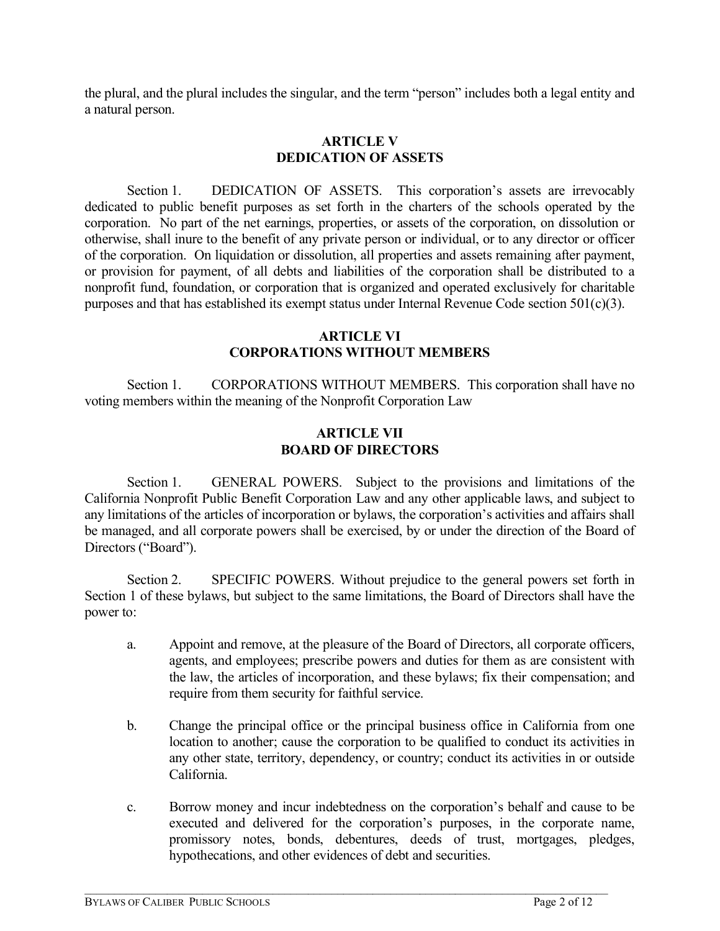the plural, and the plural includes the singular, and the term "person" includes both a legal entity and a natural person.

### **ARTICLE V DEDICATION OF ASSETS**

Section 1. DEDICATION OF ASSETS. This corporation's assets are irrevocably dedicated to public benefit purposes as set forth in the charters of the schools operated by the corporation. No part of the net earnings, properties, or assets of the corporation, on dissolution or otherwise, shall inure to the benefit of any private person or individual, or to any director or officer of the corporation. On liquidation or dissolution, all properties and assets remaining after payment, or provision for payment, of all debts and liabilities of the corporation shall be distributed to a nonprofit fund, foundation, or corporation that is organized and operated exclusively for charitable purposes and that has established its exempt status under Internal Revenue Code section 501(c)(3).

### **ARTICLE VI CORPORATIONS WITHOUT MEMBERS**

Section 1. CORPORATIONS WITHOUT MEMBERS. This corporation shall have no voting members within the meaning of the Nonprofit Corporation Law

## **ARTICLE VII BOARD OF DIRECTORS**

Section 1. GENERAL POWERS. Subject to the provisions and limitations of the California Nonprofit Public Benefit Corporation Law and any other applicable laws, and subject to any limitations of the articles of incorporation or bylaws, the corporation's activities and affairs shall be managed, and all corporate powers shall be exercised, by or under the direction of the Board of Directors ("Board").

Section 2. SPECIFIC POWERS. Without prejudice to the general powers set forth in Section 1 of these bylaws, but subject to the same limitations, the Board of Directors shall have the power to:

- a. Appoint and remove, at the pleasure of the Board of Directors, all corporate officers, agents, and employees; prescribe powers and duties for them as are consistent with the law, the articles of incorporation, and these bylaws; fix their compensation; and require from them security for faithful service.
- b. Change the principal office or the principal business office in California from one location to another; cause the corporation to be qualified to conduct its activities in any other state, territory, dependency, or country; conduct its activities in or outside California.
- c. Borrow money and incur indebtedness on the corporation's behalf and cause to be executed and delivered for the corporation's purposes, in the corporate name, promissory notes, bonds, debentures, deeds of trust, mortgages, pledges, hypothecations, and other evidences of debt and securities.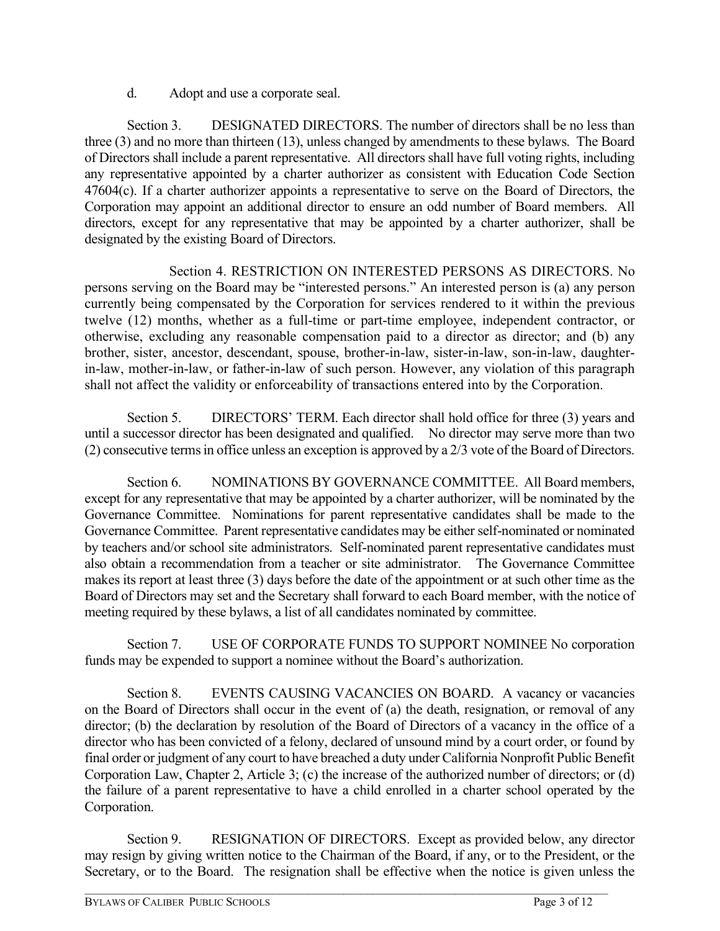d. Adopt and use a corporate seal.

Section 3. DESIGNATED DIRECTORS. The number of directors shall be no less than three (3) and no more than thirteen (13), unless changed by amendments to these bylaws. The Board of Directors shall include a parent representative. All directors shall have full voting rights, including any representative appointed by a charter authorizer as consistent with Education Code Section 47604(c). If a charter authorizer appoints a representative to serve on the Board of Directors, the Corporation may appoint an additional director to ensure an odd number of Board members. All directors, except for any representative that may be appointed by a charter authorizer, shall be designated by the existing Board of Directors.

Section 4. RESTRICTION ON INTERESTED PERSONS AS DIRECTORS. No persons serving on the Board may be "interested persons." An interested person is (a) any person currently being compensated by the Corporation for services rendered to it within the previous twelve (12) months, whether as a full-time or part-time employee, independent contractor, or otherwise, excluding any reasonable compensation paid to a director as director; and (b) any brother, sister, ancestor, descendant, spouse, brother-in-law, sister-in-law, son-in-law, daughterin-law, mother-in-law, or father-in-law of such person. However, any violation of this paragraph shall not affect the validity or enforceability of transactions entered into by the Corporation.

Section 5. DIRECTORS' TERM. Each director shall hold office for three (3) years and until a successor director has been designated and qualified. No director may serve more than two (2) consecutive terms in office unless an exception is approved by a 2/3 vote of the Board of Directors.

Section 6. NOMINATIONS BY GOVERNANCE COMMITTEE. All Board members, except for any representative that may be appointed by a charter authorizer, will be nominated by the Governance Committee. Nominations for parent representative candidates shall be made to the Governance Committee. Parent representative candidates may be either self-nominated or nominated by teachers and/or school site administrators. Self-nominated parent representative candidates must also obtain a recommendation from a teacher or site administrator. The Governance Committee makes its report at least three (3) days before the date of the appointment or at such other time as the Board of Directors may set and the Secretary shall forward to each Board member, with the notice of meeting required by these bylaws, a list of all candidates nominated by committee.

Section 7. USE OF CORPORATE FUNDS TO SUPPORT NOMINEE No corporation funds may be expended to support a nominee without the Board's authorization.

Section 8. EVENTS CAUSING VACANCIES ON BOARD. A vacancy or vacancies on the Board of Directors shall occur in the event of (a) the death, resignation, or removal of any director; (b) the declaration by resolution of the Board of Directors of a vacancy in the office of a director who has been convicted of a felony, declared of unsound mind by a court order, or found by final order or judgment of any court to have breached a duty under California Nonprofit Public Benefit Corporation Law, Chapter 2, Article 3; (c) the increase of the authorized number of directors; or (d) the failure of a parent representative to have a child enrolled in a charter school operated by the Corporation.

Section 9. RESIGNATION OF DIRECTORS. Except as provided below, any director may resign by giving written notice to the Chairman of the Board, if any, or to the President, or the Secretary, or to the Board. The resignation shall be effective when the notice is given unless the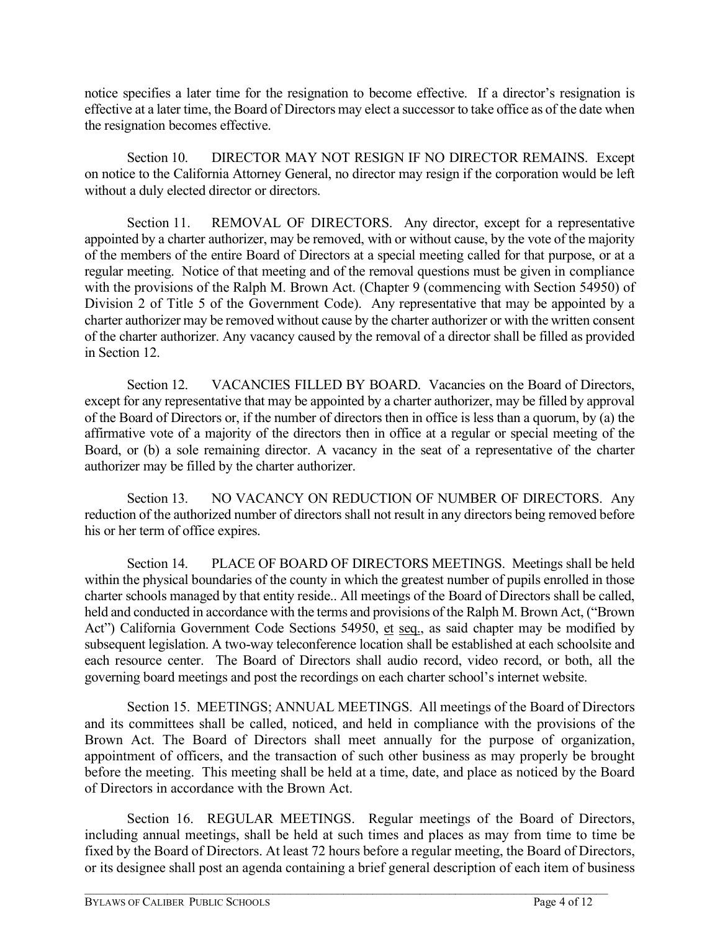notice specifies a later time for the resignation to become effective. If a director's resignation is effective at a later time, the Board of Directors may elect a successor to take office as of the date when the resignation becomes effective.

Section 10. DIRECTOR MAY NOT RESIGN IF NO DIRECTOR REMAINS. Except on notice to the California Attorney General, no director may resign if the corporation would be left without a duly elected director or directors.

Section 11. REMOVAL OF DIRECTORS. Any director, except for a representative appointed by a charter authorizer, may be removed, with or without cause, by the vote of the majority of the members of the entire Board of Directors at a special meeting called for that purpose, or at a regular meeting. Notice of that meeting and of the removal questions must be given in compliance with the provisions of the Ralph M. Brown Act. (Chapter 9 (commencing with Section 54950) of Division 2 of Title 5 of the Government Code). Any representative that may be appointed by a charter authorizer may be removed without cause by the charter authorizer or with the written consent of the charter authorizer. Any vacancy caused by the removal of a director shall be filled as provided in Section 12.

Section 12. VACANCIES FILLED BY BOARD. Vacancies on the Board of Directors, except for any representative that may be appointed by a charter authorizer, may be filled by approval of the Board of Directors or, if the number of directors then in office is less than a quorum, by (a) the affirmative vote of a majority of the directors then in office at a regular or special meeting of the Board, or (b) a sole remaining director. A vacancy in the seat of a representative of the charter authorizer may be filled by the charter authorizer.

Section 13. NO VACANCY ON REDUCTION OF NUMBER OF DIRECTORS. Any reduction of the authorized number of directors shall not result in any directors being removed before his or her term of office expires.

Section 14. PLACE OF BOARD OF DIRECTORS MEETINGS. Meetings shall be held within the physical boundaries of the county in which the greatest number of pupils enrolled in those charter schools managed by that entity reside.. All meetings of the Board of Directors shall be called, held and conducted in accordance with the terms and provisions of the Ralph M. Brown Act, ("Brown Act") California Government Code Sections 54950, et seq., as said chapter may be modified by subsequent legislation. A two-way teleconference location shall be established at each schoolsite and each resource center. The Board of Directors shall audio record, video record, or both, all the governing board meetings and post the recordings on each charter school's internet website.

Section 15. MEETINGS; ANNUAL MEETINGS. All meetings of the Board of Directors and its committees shall be called, noticed, and held in compliance with the provisions of the Brown Act. The Board of Directors shall meet annually for the purpose of organization, appointment of officers, and the transaction of such other business as may properly be brought before the meeting. This meeting shall be held at a time, date, and place as noticed by the Board of Directors in accordance with the Brown Act.

Section 16. REGULAR MEETINGS. Regular meetings of the Board of Directors, including annual meetings, shall be held at such times and places as may from time to time be fixed by the Board of Directors. At least 72 hours before a regular meeting, the Board of Directors, or its designee shall post an agenda containing a brief general description of each item of business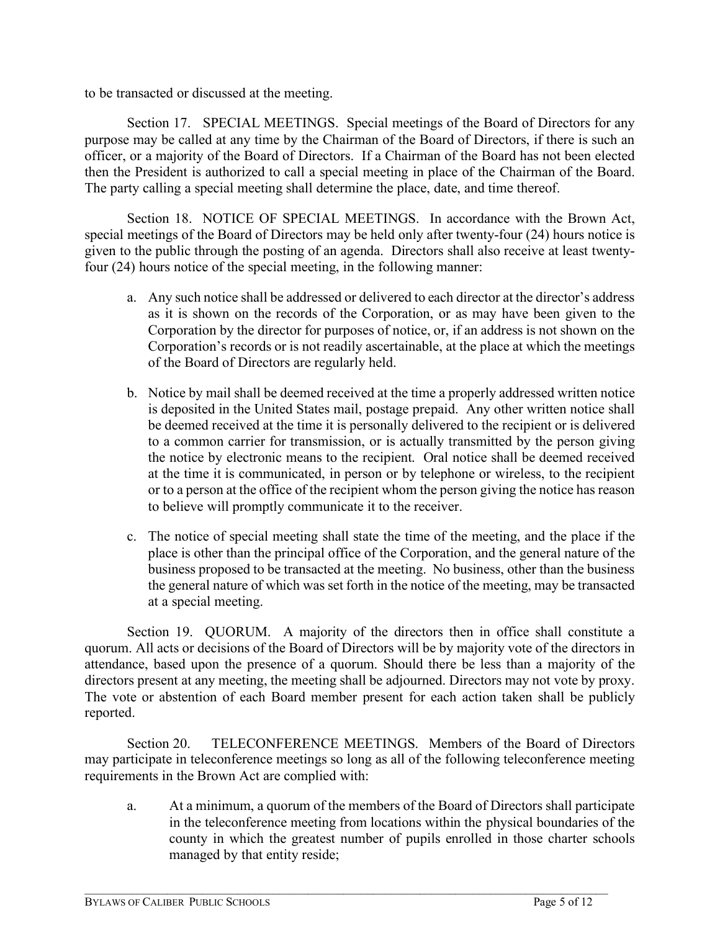to be transacted or discussed at the meeting.

Section 17. SPECIAL MEETINGS. Special meetings of the Board of Directors for any purpose may be called at any time by the Chairman of the Board of Directors, if there is such an officer, or a majority of the Board of Directors. If a Chairman of the Board has not been elected then the President is authorized to call a special meeting in place of the Chairman of the Board. The party calling a special meeting shall determine the place, date, and time thereof.

Section 18. NOTICE OF SPECIAL MEETINGS. In accordance with the Brown Act, special meetings of the Board of Directors may be held only after twenty-four (24) hours notice is given to the public through the posting of an agenda. Directors shall also receive at least twentyfour (24) hours notice of the special meeting, in the following manner:

- a. Any such notice shall be addressed or delivered to each director at the director's address as it is shown on the records of the Corporation, or as may have been given to the Corporation by the director for purposes of notice, or, if an address is not shown on the Corporation's records or is not readily ascertainable, at the place at which the meetings of the Board of Directors are regularly held.
- b. Notice by mail shall be deemed received at the time a properly addressed written notice is deposited in the United States mail, postage prepaid. Any other written notice shall be deemed received at the time it is personally delivered to the recipient or is delivered to a common carrier for transmission, or is actually transmitted by the person giving the notice by electronic means to the recipient. Oral notice shall be deemed received at the time it is communicated, in person or by telephone or wireless, to the recipient or to a person at the office of the recipient whom the person giving the notice has reason to believe will promptly communicate it to the receiver.
- c. The notice of special meeting shall state the time of the meeting, and the place if the place is other than the principal office of the Corporation, and the general nature of the business proposed to be transacted at the meeting. No business, other than the business the general nature of which was set forth in the notice of the meeting, may be transacted at a special meeting.

Section 19. QUORUM. A majority of the directors then in office shall constitute a quorum. All acts or decisions of the Board of Directors will be by majority vote of the directors in attendance, based upon the presence of a quorum. Should there be less than a majority of the directors present at any meeting, the meeting shall be adjourned. Directors may not vote by proxy. The vote or abstention of each Board member present for each action taken shall be publicly reported.

Section 20. TELECONFERENCE MEETINGS. Members of the Board of Directors may participate in teleconference meetings so long as all of the following teleconference meeting requirements in the Brown Act are complied with:

 $\mathcal{L}_\mathcal{L} = \{ \mathcal{L}_\mathcal{L} = \{ \mathcal{L}_\mathcal{L} = \{ \mathcal{L}_\mathcal{L} = \{ \mathcal{L}_\mathcal{L} = \{ \mathcal{L}_\mathcal{L} = \{ \mathcal{L}_\mathcal{L} = \{ \mathcal{L}_\mathcal{L} = \{ \mathcal{L}_\mathcal{L} = \{ \mathcal{L}_\mathcal{L} = \{ \mathcal{L}_\mathcal{L} = \{ \mathcal{L}_\mathcal{L} = \{ \mathcal{L}_\mathcal{L} = \{ \mathcal{L}_\mathcal{L} = \{ \mathcal{L}_\mathcal{$ 

a. At a minimum, a quorum of the members of the Board of Directors shall participate in the teleconference meeting from locations within the physical boundaries of the county in which the greatest number of pupils enrolled in those charter schools managed by that entity reside;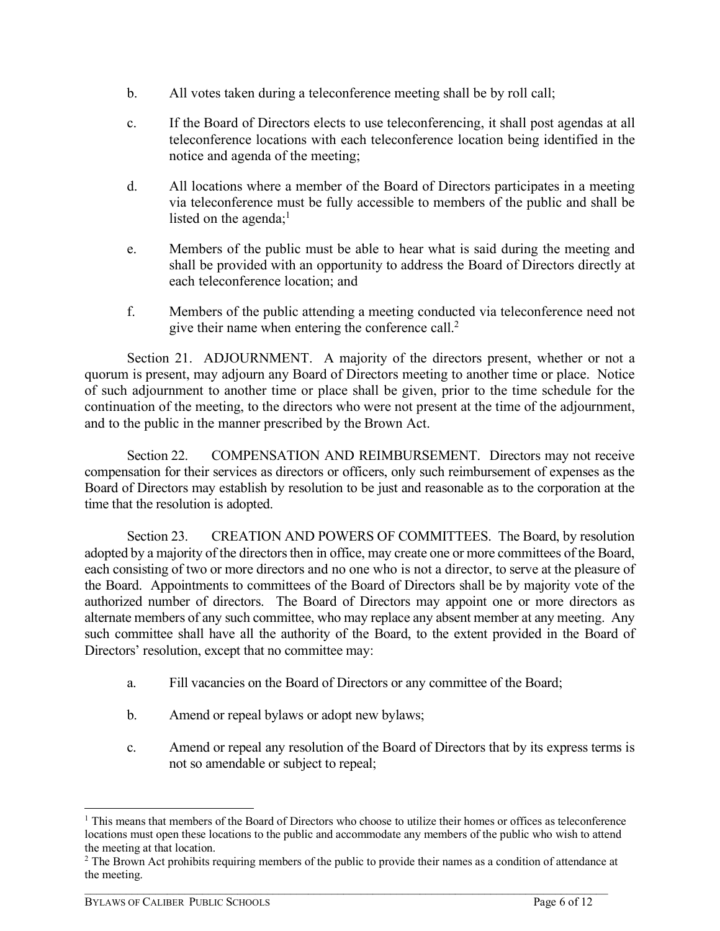- b. All votes taken during a teleconference meeting shall be by roll call;
- c. If the Board of Directors elects to use teleconferencing, it shall post agendas at all teleconference locations with each teleconference location being identified in the notice and agenda of the meeting;
- d. All locations where a member of the Board of Directors participates in a meeting via teleconference must be fully accessible to members of the public and shall be listed on the agenda; $<sup>1</sup>$ </sup>
- e. Members of the public must be able to hear what is said during the meeting and shall be provided with an opportunity to address the Board of Directors directly at each teleconference location; and
- f. Members of the public attending a meeting conducted via teleconference need not give their name when entering the conference call.<sup>2</sup>

Section 21. ADJOURNMENT. A majority of the directors present, whether or not a quorum is present, may adjourn any Board of Directors meeting to another time or place. Notice of such adjournment to another time or place shall be given, prior to the time schedule for the continuation of the meeting, to the directors who were not present at the time of the adjournment, and to the public in the manner prescribed by the Brown Act.

Section 22. COMPENSATION AND REIMBURSEMENT. Directors may not receive compensation for their services as directors or officers, only such reimbursement of expenses as the Board of Directors may establish by resolution to be just and reasonable as to the corporation at the time that the resolution is adopted.

Section 23. CREATION AND POWERS OF COMMITTEES. The Board, by resolution adopted by a majority of the directors then in office, may create one or more committees of the Board, each consisting of two or more directors and no one who is not a director, to serve at the pleasure of the Board. Appointments to committees of the Board of Directors shall be by majority vote of the authorized number of directors. The Board of Directors may appoint one or more directors as alternate members of any such committee, who may replace any absent member at any meeting. Any such committee shall have all the authority of the Board, to the extent provided in the Board of Directors' resolution, except that no committee may:

- a. Fill vacancies on the Board of Directors or any committee of the Board;
- b. Amend or repeal bylaws or adopt new bylaws;
- c. Amend or repeal any resolution of the Board of Directors that by its express terms is not so amendable or subject to repeal;

<sup>&</sup>lt;sup>1</sup> This means that members of the Board of Directors who choose to utilize their homes or offices as teleconference locations must open these locations to the public and accommodate any members of the public who wish to attend the meeting at that location.

<sup>&</sup>lt;sup>2</sup> The Brown Act prohibits requiring members of the public to provide their names as a condition of attendance at the meeting.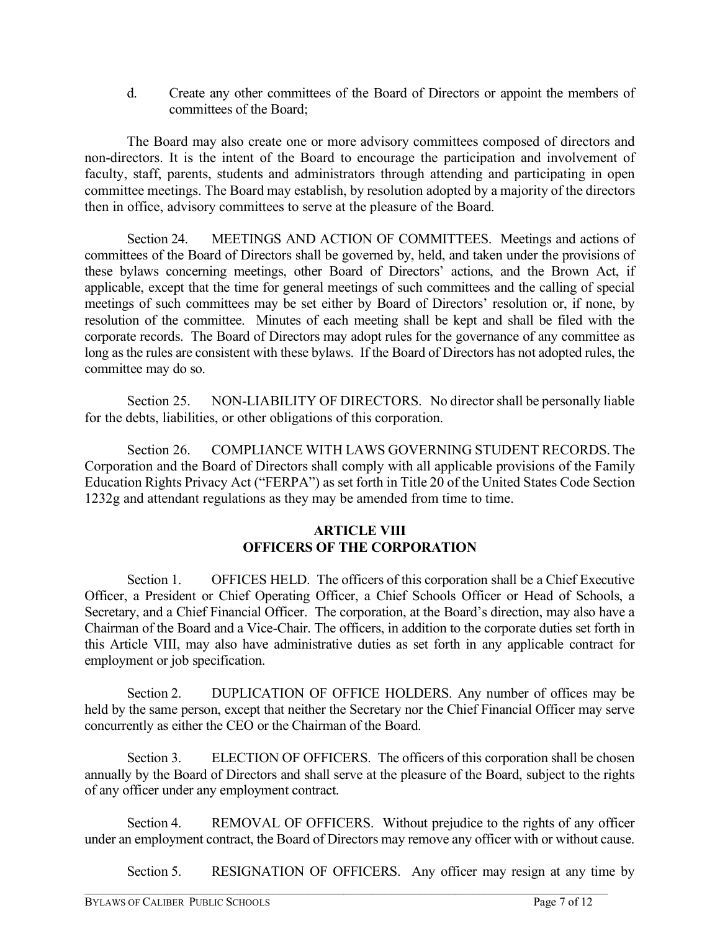d. Create any other committees of the Board of Directors or appoint the members of committees of the Board;

The Board may also create one or more advisory committees composed of directors and non-directors. It is the intent of the Board to encourage the participation and involvement of faculty, staff, parents, students and administrators through attending and participating in open committee meetings. The Board may establish, by resolution adopted by a majority of the directors then in office, advisory committees to serve at the pleasure of the Board.

Section 24. MEETINGS AND ACTION OF COMMITTEES. Meetings and actions of committees of the Board of Directors shall be governed by, held, and taken under the provisions of these bylaws concerning meetings, other Board of Directors' actions, and the Brown Act, if applicable, except that the time for general meetings of such committees and the calling of special meetings of such committees may be set either by Board of Directors' resolution or, if none, by resolution of the committee. Minutes of each meeting shall be kept and shall be filed with the corporate records. The Board of Directors may adopt rules for the governance of any committee as long as the rules are consistent with these bylaws. If the Board of Directors has not adopted rules, the committee may do so.

Section 25. NON-LIABILITY OF DIRECTORS. No director shall be personally liable for the debts, liabilities, or other obligations of this corporation.

Section 26. COMPLIANCE WITH LAWS GOVERNING STUDENT RECORDS. The Corporation and the Board of Directors shall comply with all applicable provisions of the Family Education Rights Privacy Act ("FERPA") as set forth in Title 20 of the United States Code Section 1232g and attendant regulations as they may be amended from time to time.

# **ARTICLE VIII OFFICERS OF THE CORPORATION**

Section 1. OFFICES HELD. The officers of this corporation shall be a Chief Executive Officer, a President or Chief Operating Officer, a Chief Schools Officer or Head of Schools, a Secretary, and a Chief Financial Officer. The corporation, at the Board's direction, may also have a Chairman of the Board and a Vice-Chair. The officers, in addition to the corporate duties set forth in this Article VIII, may also have administrative duties as set forth in any applicable contract for employment or job specification.

Section 2. DUPLICATION OF OFFICE HOLDERS. Any number of offices may be held by the same person, except that neither the Secretary nor the Chief Financial Officer may serve concurrently as either the CEO or the Chairman of the Board.

Section 3. ELECTION OF OFFICERS. The officers of this corporation shall be chosen annually by the Board of Directors and shall serve at the pleasure of the Board, subject to the rights of any officer under any employment contract.

Section 4. REMOVAL OF OFFICERS. Without prejudice to the rights of any officer under an employment contract, the Board of Directors may remove any officer with or without cause.

 $\mathcal{L}_\mathcal{L} = \{ \mathcal{L}_\mathcal{L} = \{ \mathcal{L}_\mathcal{L} = \{ \mathcal{L}_\mathcal{L} = \{ \mathcal{L}_\mathcal{L} = \{ \mathcal{L}_\mathcal{L} = \{ \mathcal{L}_\mathcal{L} = \{ \mathcal{L}_\mathcal{L} = \{ \mathcal{L}_\mathcal{L} = \{ \mathcal{L}_\mathcal{L} = \{ \mathcal{L}_\mathcal{L} = \{ \mathcal{L}_\mathcal{L} = \{ \mathcal{L}_\mathcal{L} = \{ \mathcal{L}_\mathcal{L} = \{ \mathcal{L}_\mathcal{$ 

Section 5. RESIGNATION OF OFFICERS. Any officer may resign at any time by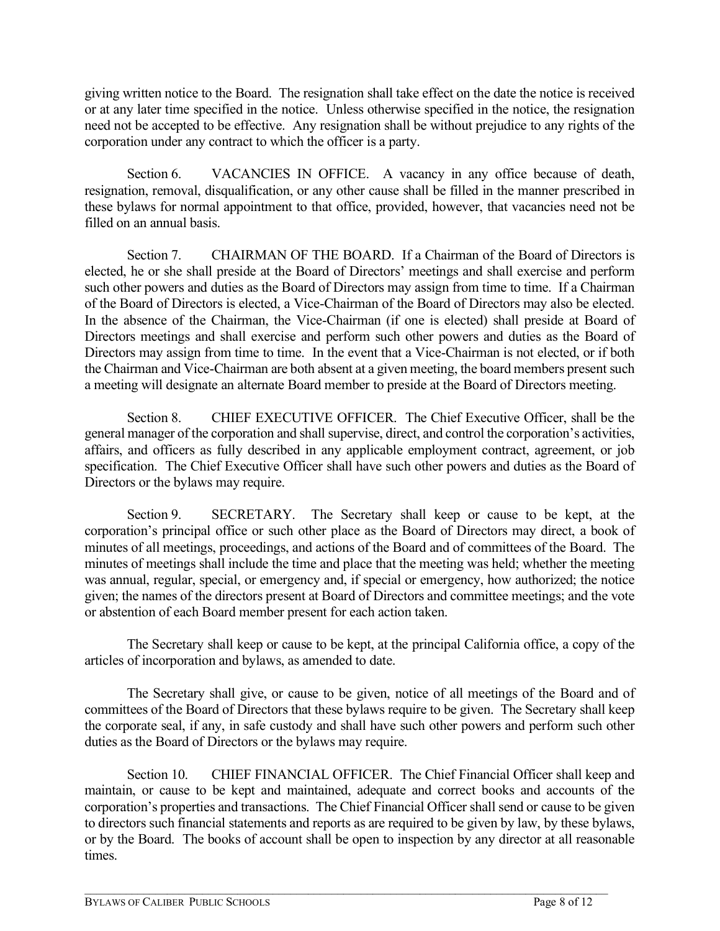giving written notice to the Board. The resignation shall take effect on the date the notice is received or at any later time specified in the notice. Unless otherwise specified in the notice, the resignation need not be accepted to be effective. Any resignation shall be without prejudice to any rights of the corporation under any contract to which the officer is a party.

Section 6. VACANCIES IN OFFICE. A vacancy in any office because of death, resignation, removal, disqualification, or any other cause shall be filled in the manner prescribed in these bylaws for normal appointment to that office, provided, however, that vacancies need not be filled on an annual basis.

Section 7. CHAIRMAN OF THE BOARD. If a Chairman of the Board of Directors is elected, he or she shall preside at the Board of Directors' meetings and shall exercise and perform such other powers and duties as the Board of Directors may assign from time to time. If a Chairman of the Board of Directors is elected, a Vice-Chairman of the Board of Directors may also be elected. In the absence of the Chairman, the Vice-Chairman (if one is elected) shall preside at Board of Directors meetings and shall exercise and perform such other powers and duties as the Board of Directors may assign from time to time. In the event that a Vice-Chairman is not elected, or if both the Chairman and Vice-Chairman are both absent at a given meeting, the board members present such a meeting will designate an alternate Board member to preside at the Board of Directors meeting.

Section 8. CHIEF EXECUTIVE OFFICER. The Chief Executive Officer, shall be the general manager of the corporation and shall supervise, direct, and control the corporation's activities, affairs, and officers as fully described in any applicable employment contract, agreement, or job specification. The Chief Executive Officer shall have such other powers and duties as the Board of Directors or the bylaws may require.

Section 9. SECRETARY. The Secretary shall keep or cause to be kept, at the corporation's principal office or such other place as the Board of Directors may direct, a book of minutes of all meetings, proceedings, and actions of the Board and of committees of the Board. The minutes of meetings shall include the time and place that the meeting was held; whether the meeting was annual, regular, special, or emergency and, if special or emergency, how authorized; the notice given; the names of the directors present at Board of Directors and committee meetings; and the vote or abstention of each Board member present for each action taken.

The Secretary shall keep or cause to be kept, at the principal California office, a copy of the articles of incorporation and bylaws, as amended to date.

The Secretary shall give, or cause to be given, notice of all meetings of the Board and of committees of the Board of Directors that these bylaws require to be given. The Secretary shall keep the corporate seal, if any, in safe custody and shall have such other powers and perform such other duties as the Board of Directors or the bylaws may require.

Section 10. CHIEF FINANCIAL OFFICER. The Chief Financial Officer shall keep and maintain, or cause to be kept and maintained, adequate and correct books and accounts of the corporation's properties and transactions. The Chief Financial Officer shall send or cause to be given to directors such financial statements and reports as are required to be given by law, by these bylaws, or by the Board. The books of account shall be open to inspection by any director at all reasonable times.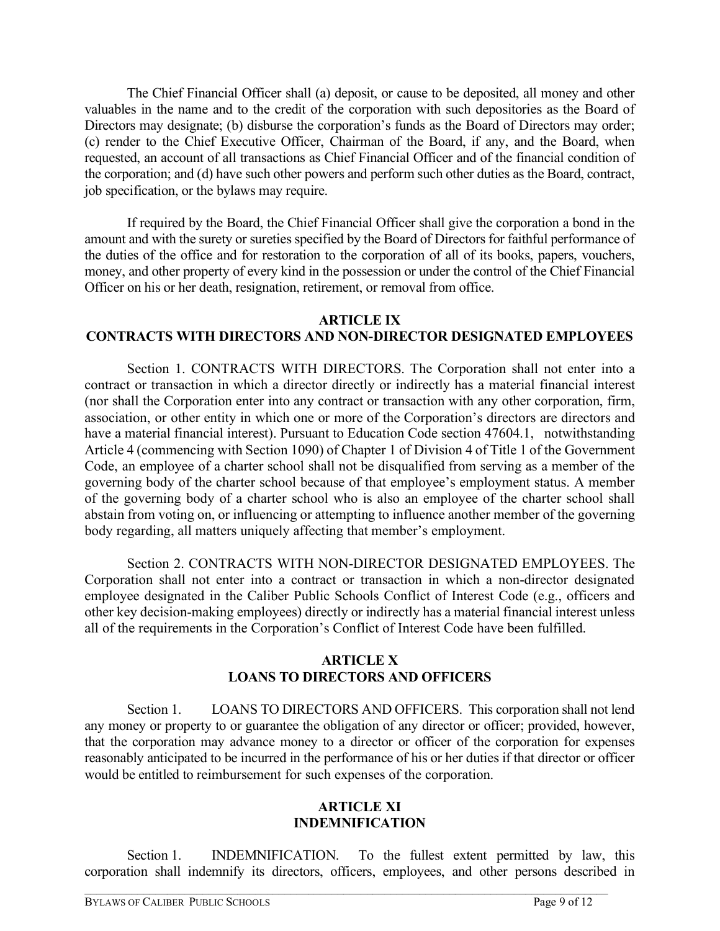The Chief Financial Officer shall (a) deposit, or cause to be deposited, all money and other valuables in the name and to the credit of the corporation with such depositories as the Board of Directors may designate; (b) disburse the corporation's funds as the Board of Directors may order; (c) render to the Chief Executive Officer, Chairman of the Board, if any, and the Board, when requested, an account of all transactions as Chief Financial Officer and of the financial condition of the corporation; and (d) have such other powers and perform such other duties as the Board, contract, job specification, or the bylaws may require.

If required by the Board, the Chief Financial Officer shall give the corporation a bond in the amount and with the surety or sureties specified by the Board of Directors for faithful performance of the duties of the office and for restoration to the corporation of all of its books, papers, vouchers, money, and other property of every kind in the possession or under the control of the Chief Financial Officer on his or her death, resignation, retirement, or removal from office.

## **ARTICLE IX**

# **CONTRACTS WITH DIRECTORS AND NON-DIRECTOR DESIGNATED EMPLOYEES**

Section 1. CONTRACTS WITH DIRECTORS. The Corporation shall not enter into a contract or transaction in which a director directly or indirectly has a material financial interest (nor shall the Corporation enter into any contract or transaction with any other corporation, firm, association, or other entity in which one or more of the Corporation's directors are directors and have a material financial interest). Pursuant to Education Code section 47604.1, notwithstanding Article 4 (commencing with Section 1090) of Chapter 1 of Division 4 of Title 1 of the Government Code, an employee of a charter school shall not be disqualified from serving as a member of the governing body of the charter school because of that employee's employment status. A member of the governing body of a charter school who is also an employee of the charter school shall abstain from voting on, or influencing or attempting to influence another member of the governing body regarding, all matters uniquely affecting that member's employment.

Section 2. CONTRACTS WITH NON-DIRECTOR DESIGNATED EMPLOYEES. The Corporation shall not enter into a contract or transaction in which a non-director designated employee designated in the Caliber Public Schools Conflict of Interest Code (e.g., officers and other key decision-making employees) directly or indirectly has a material financial interest unless all of the requirements in the Corporation's Conflict of Interest Code have been fulfilled.

## **ARTICLE X LOANS TO DIRECTORS AND OFFICERS**

Section 1. LOANS TO DIRECTORS AND OFFICERS. This corporation shall not lend any money or property to or guarantee the obligation of any director or officer; provided, however, that the corporation may advance money to a director or officer of the corporation for expenses reasonably anticipated to be incurred in the performance of his or her duties if that director or officer would be entitled to reimbursement for such expenses of the corporation.

### **ARTICLE XI INDEMNIFICATION**

Section 1. INDEMNIFICATION. To the fullest extent permitted by law, this corporation shall indemnify its directors, officers, employees, and other persons described in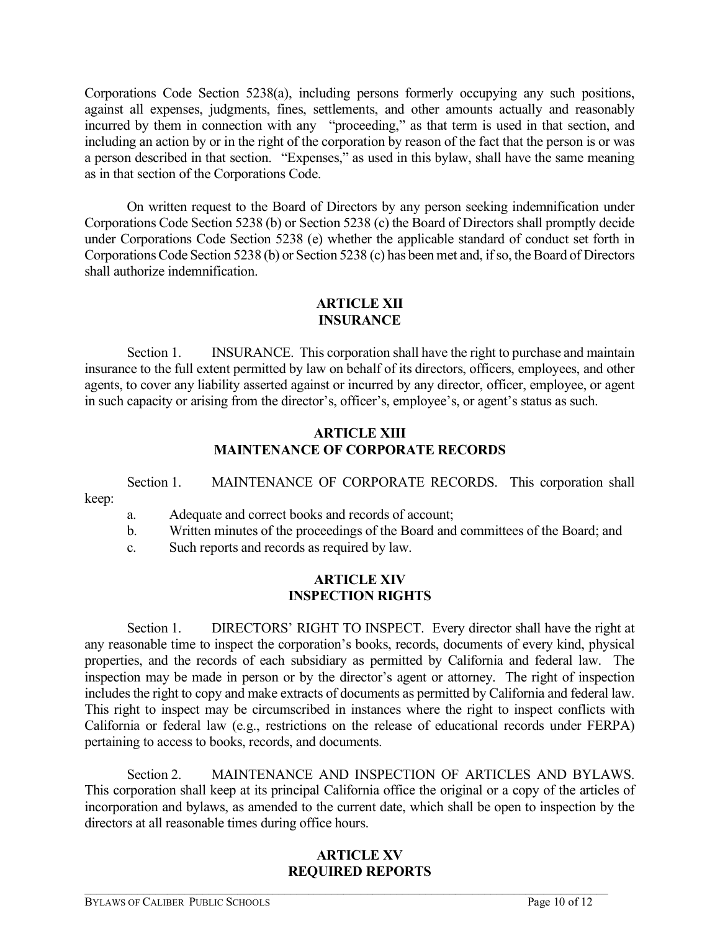Corporations Code Section 5238(a), including persons formerly occupying any such positions, against all expenses, judgments, fines, settlements, and other amounts actually and reasonably incurred by them in connection with any "proceeding," as that term is used in that section, and including an action by or in the right of the corporation by reason of the fact that the person is or was a person described in that section. "Expenses," as used in this bylaw, shall have the same meaning as in that section of the Corporations Code.

On written request to the Board of Directors by any person seeking indemnification under Corporations Code Section 5238 (b) or Section 5238 (c) the Board of Directors shall promptly decide under Corporations Code Section 5238 (e) whether the applicable standard of conduct set forth in Corporations Code Section 5238 (b) or Section 5238 (c) has been met and, if so, the Board of Directors shall authorize indemnification.

## **ARTICLE XII INSURANCE**

Section 1. INSURANCE. This corporation shall have the right to purchase and maintain insurance to the full extent permitted by law on behalf of its directors, officers, employees, and other agents, to cover any liability asserted against or incurred by any director, officer, employee, or agent in such capacity or arising from the director's, officer's, employee's, or agent's status as such.

## **ARTICLE XIII MAINTENANCE OF CORPORATE RECORDS**

Section 1. MAINTENANCE OF CORPORATE RECORDS. This corporation shall keep:

a. Adequate and correct books and records of account;

b. Written minutes of the proceedings of the Board and committees of the Board; and

c. Such reports and records as required by law.

### **ARTICLE XIV INSPECTION RIGHTS**

Section 1. DIRECTORS' RIGHT TO INSPECT. Every director shall have the right at any reasonable time to inspect the corporation's books, records, documents of every kind, physical properties, and the records of each subsidiary as permitted by California and federal law. The inspection may be made in person or by the director's agent or attorney. The right of inspection includes the right to copy and make extracts of documents as permitted by California and federal law. This right to inspect may be circumscribed in instances where the right to inspect conflicts with California or federal law (e.g., restrictions on the release of educational records under FERPA) pertaining to access to books, records, and documents.

Section 2. MAINTENANCE AND INSPECTION OF ARTICLES AND BYLAWS. This corporation shall keep at its principal California office the original or a copy of the articles of incorporation and bylaws, as amended to the current date, which shall be open to inspection by the directors at all reasonable times during office hours.

# **ARTICLE XV REQUIRED REPORTS**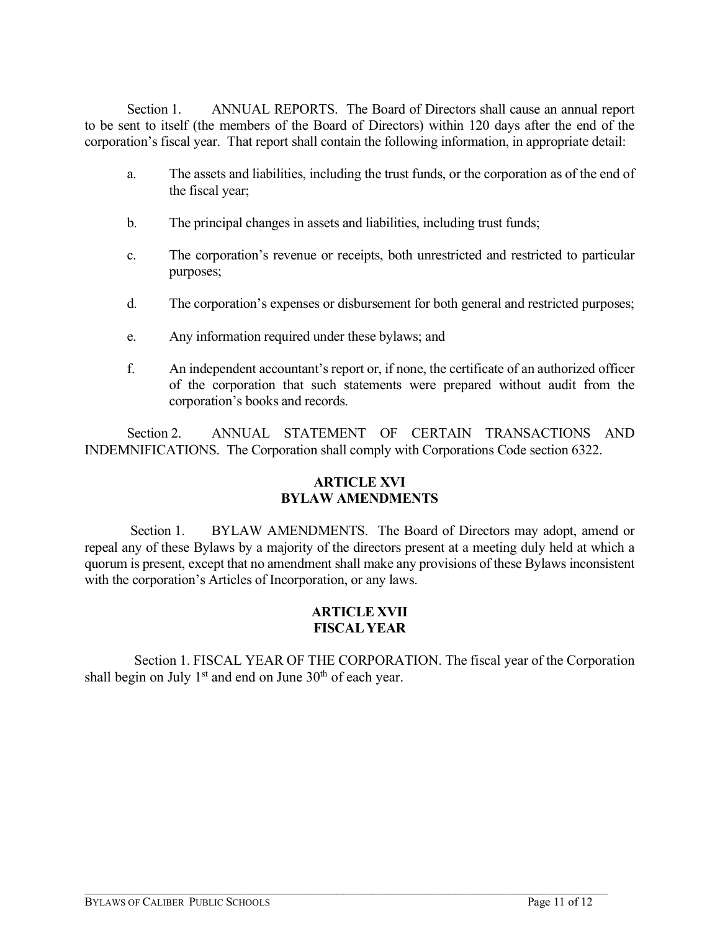Section 1. ANNUAL REPORTS. The Board of Directors shall cause an annual report to be sent to itself (the members of the Board of Directors) within 120 days after the end of the corporation's fiscal year. That report shall contain the following information, in appropriate detail:

- a. The assets and liabilities, including the trust funds, or the corporation as of the end of the fiscal year;
- b. The principal changes in assets and liabilities, including trust funds;
- c. The corporation's revenue or receipts, both unrestricted and restricted to particular purposes;
- d. The corporation's expenses or disbursement for both general and restricted purposes;
- e. Any information required under these bylaws; and
- f. An independent accountant's report or, if none, the certificate of an authorized officer of the corporation that such statements were prepared without audit from the corporation's books and records.

Section 2. ANNUAL STATEMENT OF CERTAIN TRANSACTIONS AND INDEMNIFICATIONS. The Corporation shall comply with Corporations Code section 6322.

## **ARTICLE XVI BYLAW AMENDMENTS**

Section 1. BYLAW AMENDMENTS. The Board of Directors may adopt, amend or repeal any of these Bylaws by a majority of the directors present at a meeting duly held at which a quorum is present, except that no amendment shall make any provisions of these Bylaws inconsistent with the corporation's Articles of Incorporation, or any laws.

## **ARTICLE XVII FISCAL YEAR**

 Section 1. FISCAL YEAR OF THE CORPORATION. The fiscal year of the Corporation shall begin on July  $1<sup>st</sup>$  and end on June  $30<sup>th</sup>$  of each year.